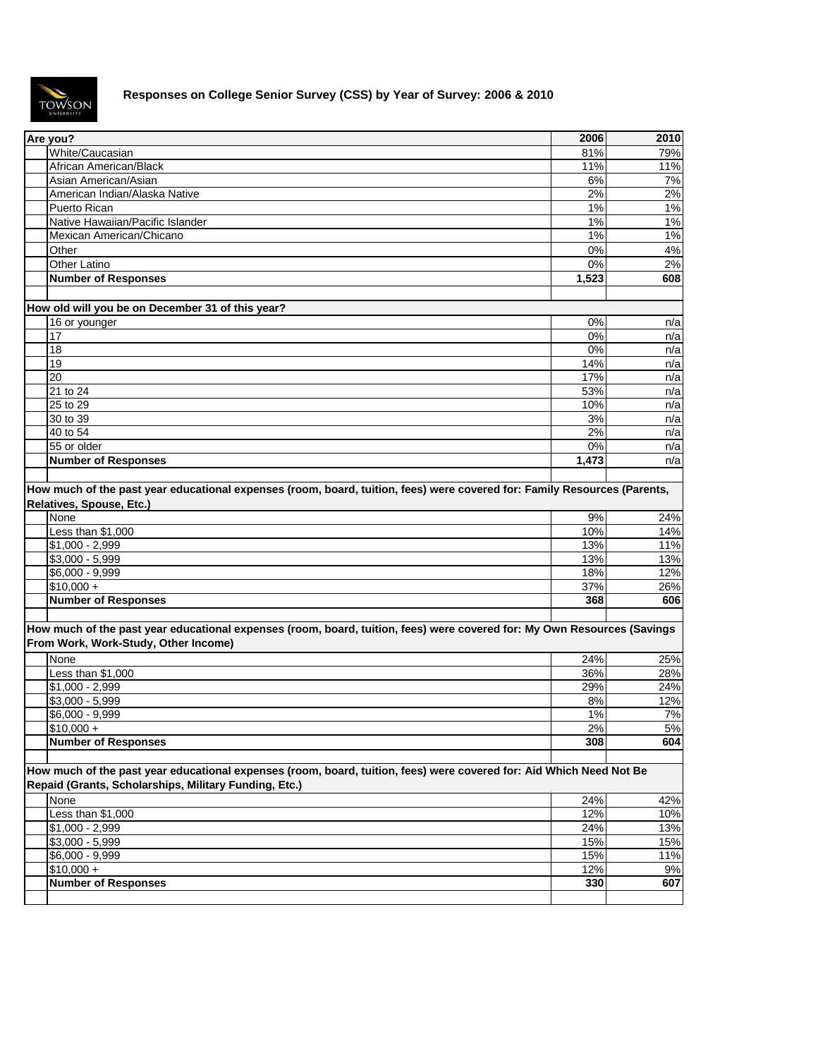

## **Responses on College Senior Survey (CSS) by Year of Survey: 2006 & 2010**

| Are you?                                                                                                                                                                     | 2006  | 2010  |
|------------------------------------------------------------------------------------------------------------------------------------------------------------------------------|-------|-------|
| White/Caucasian                                                                                                                                                              | 81%   | 79%   |
| African American/Black                                                                                                                                                       | 11%   | 11%   |
| Asian American/Asian                                                                                                                                                         | 6%    | 7%    |
| American Indian/Alaska Native                                                                                                                                                | 2%    | $2\%$ |
| Puerto Rican                                                                                                                                                                 | 1%    | 1%    |
| Native Hawaiian/Pacific Islander                                                                                                                                             | 1%    | 1%    |
| Mexican American/Chicano                                                                                                                                                     | 1%    | 1%    |
| Other                                                                                                                                                                        | 0%    | 4%    |
| Other Latino                                                                                                                                                                 | 0%    | 2%    |
| <b>Number of Responses</b>                                                                                                                                                   | 1,523 | 608   |
|                                                                                                                                                                              |       |       |
| How old will you be on December 31 of this year?                                                                                                                             |       |       |
| 16 or younger                                                                                                                                                                | 0%    | n/a   |
| $\overline{17}$                                                                                                                                                              | $0\%$ | n/a   |
| 18                                                                                                                                                                           | 0%    | n/a   |
| 19                                                                                                                                                                           | 14%   | n/a   |
| 20                                                                                                                                                                           | 17%   | n/a   |
| 21 to 24                                                                                                                                                                     | 53%   | n/a   |
| 25 to 29                                                                                                                                                                     | 10%   | n/a   |
| 30 to 39                                                                                                                                                                     | 3%    | n/a   |
| 40 to 54                                                                                                                                                                     | 2%    | n/a   |
| 55 or older                                                                                                                                                                  | 0%    | n/a   |
| <b>Number of Responses</b>                                                                                                                                                   | 1,473 | n/a   |
|                                                                                                                                                                              |       |       |
| How much of the past year educational expenses (room, board, tuition, fees) were covered for: Family Resources (Parents,<br>Relatives, Spouse, Etc.)<br>None                 | 9%    | 24%   |
| Less than \$1,000                                                                                                                                                            | 10%   | 14%   |
| $$1,000 - 2,999$                                                                                                                                                             | 13%   | 11%   |
| $$3,000 - 5,999$                                                                                                                                                             | 13%   | 13%   |
| \$6,000 - 9,999                                                                                                                                                              | 18%   | 12%   |
| $$10,000 +$                                                                                                                                                                  | 37%   | 26%   |
| <b>Number of Responses</b>                                                                                                                                                   | 368   | 606   |
| How much of the past year educational expenses (room, board, tuition, fees) were covered for: My Own Resources (Savings<br>From Work, Work-Study, Other Income)<br>None      | 24%   | 25%   |
| Less than \$1,000                                                                                                                                                            | 36%   | 28%   |
| $$1,000 - 2,999$                                                                                                                                                             | 29%   | 24%   |
| $$3,000 - 5,999$                                                                                                                                                             | 8%    | 12%   |
| \$6,000 - 9,999                                                                                                                                                              | 1%    | 7%    |
| $$10,000 +$                                                                                                                                                                  | 2%    | 5%    |
| <b>Number of Responses</b>                                                                                                                                                   | 308   | 604   |
|                                                                                                                                                                              |       |       |
| How much of the past year educational expenses (room, board, tuition, fees) were covered for: Aid Which Need Not Be<br>Repaid (Grants, Scholarships, Military Funding, Etc.) |       |       |
| None                                                                                                                                                                         | 24%   | 42%   |
| Less than \$1,000                                                                                                                                                            | 12%   | 10%   |
| $$1,000 - 2,999$                                                                                                                                                             | 24%   | 13%   |
| $$3,000 - 5,999$                                                                                                                                                             | 15%   | 15%   |
| \$6,000 - 9,999                                                                                                                                                              | 15%   | 11%   |
| $$10,000 +$                                                                                                                                                                  | 12%   | 9%    |
| <b>Number of Responses</b>                                                                                                                                                   | 330   | 607   |
|                                                                                                                                                                              |       |       |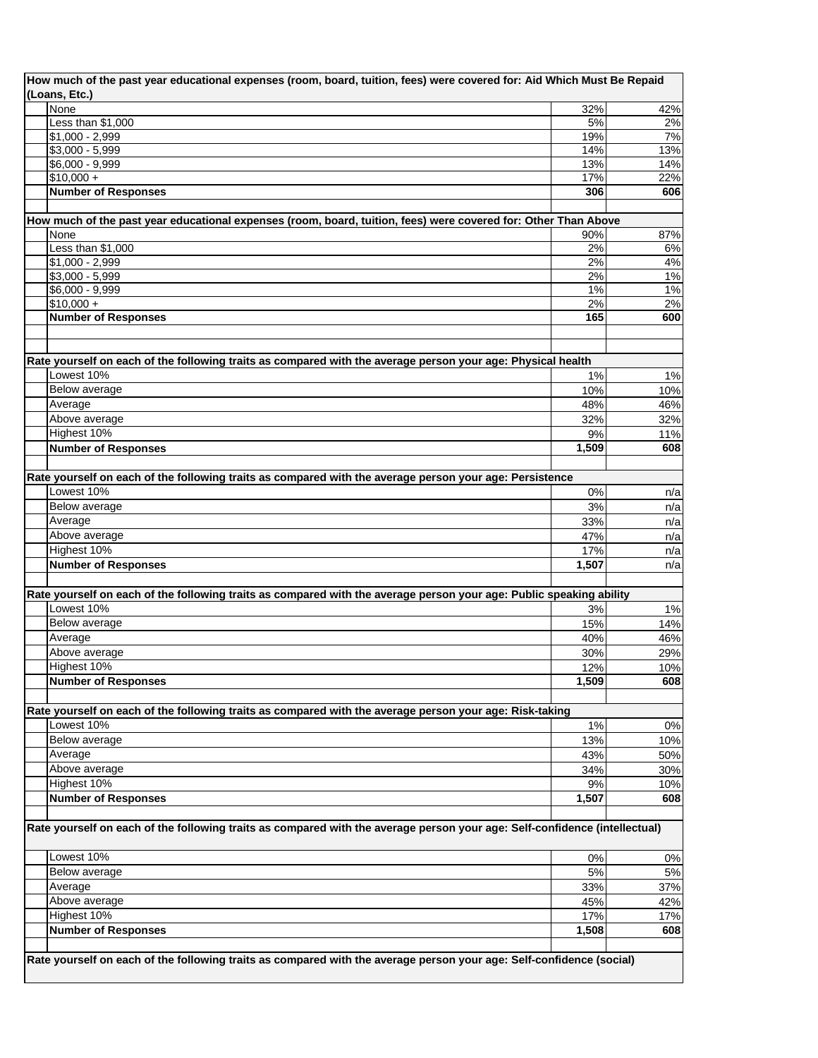| How much of the past year educational expenses (room, board, tuition, fees) were covered for: Aid Which Must Be Repaid<br>(Loans, Etc.) |       |       |
|-----------------------------------------------------------------------------------------------------------------------------------------|-------|-------|
| None                                                                                                                                    | 32%   | 42%   |
| Less than \$1,000                                                                                                                       | 5%    | 2%    |
| $$1,000 - 2,999$                                                                                                                        | 19%   | 7%    |
| $$3,000 - 5,999$                                                                                                                        | 14%   | 13%   |
| \$6,000 - 9,999                                                                                                                         | 13%   | 14%   |
| $$10,000 +$                                                                                                                             | 17%   | 22%   |
| <b>Number of Responses</b>                                                                                                              | 306   | 606   |
|                                                                                                                                         |       |       |
| How much of the past year educational expenses (room, board, tuition, fees) were covered for: Other Than Above                          |       |       |
| None                                                                                                                                    | 90%   | 87%   |
| Less than \$1,000                                                                                                                       | 2%    | $6\%$ |
| $$1,000 - 2,999$                                                                                                                        | 2%    | 4%    |
| $$3,000 - 5,999$                                                                                                                        | 2%    | 1%    |
| $$6,000 - 9,999$                                                                                                                        | 1%    | 1%    |
| $$10,000 +$                                                                                                                             | 2%    | 2%    |
| <b>Number of Responses</b>                                                                                                              | 165   | 600   |
|                                                                                                                                         |       |       |
|                                                                                                                                         |       |       |
| Rate yourself on each of the following traits as compared with the average person your age: Physical health                             |       |       |
| Lowest 10%                                                                                                                              | 1%    | 1%    |
| Below average                                                                                                                           | 10%   | 10%   |
| Average                                                                                                                                 | 48%   | 46%   |
| Above average                                                                                                                           | 32%   | 32%   |
| Highest 10%                                                                                                                             | 9%    | 11%   |
| <b>Number of Responses</b>                                                                                                              | 1,509 | 608   |
|                                                                                                                                         |       |       |
|                                                                                                                                         |       |       |
| Rate yourself on each of the following traits as compared with the average person your age: Persistence<br>Lowest 10%                   |       |       |
| Below average                                                                                                                           | 0%    | n/a   |
|                                                                                                                                         | 3%    | n/a   |
| Average                                                                                                                                 | 33%   | n/a   |
| Above average                                                                                                                           | 47%   | n/a   |
| Highest 10%                                                                                                                             | 17%   | n/a   |
| <b>Number of Responses</b>                                                                                                              | 1,507 | n/a   |
|                                                                                                                                         |       |       |
| Rate yourself on each of the following traits as compared with the average person your age: Public speaking ability                     |       |       |
| Lowest 10%                                                                                                                              | 3%    | 1%    |
| Below average                                                                                                                           | 15%   | 14%   |
| Average                                                                                                                                 | 40%   | 46%   |
| Above average                                                                                                                           | 30%   | 29%   |
| Highest 10%                                                                                                                             | 12%   | 10%   |
| <b>Number of Responses</b>                                                                                                              | 1,509 | 608   |
|                                                                                                                                         |       |       |
| Rate yourself on each of the following traits as compared with the average person your age: Risk-taking                                 |       |       |
| Lowest 10%                                                                                                                              | 1%    | $0\%$ |
| Below average                                                                                                                           | 13%   | 10%   |
| Average                                                                                                                                 | 43%   | 50%   |
| Above average                                                                                                                           | 34%   | 30%   |
| Highest 10%                                                                                                                             | 9%    | 10%   |
| <b>Number of Responses</b>                                                                                                              | 1,507 | 608   |
|                                                                                                                                         |       |       |
| Rate yourself on each of the following traits as compared with the average person your age: Self-confidence (intellectual)              |       |       |
|                                                                                                                                         |       |       |
| Lowest 10%                                                                                                                              | 0%    | 0%    |
| Below average                                                                                                                           | 5%    | 5%    |
| Average                                                                                                                                 | 33%   | 37%   |
| Above average                                                                                                                           | 45%   | 42%   |
| Highest 10%                                                                                                                             | 17%   | 17%   |
| <b>Number of Responses</b>                                                                                                              | 1,508 | 608   |
|                                                                                                                                         |       |       |
| Rate yourself on each of the following traits as compared with the average person your age: Self-confidence (social)                    |       |       |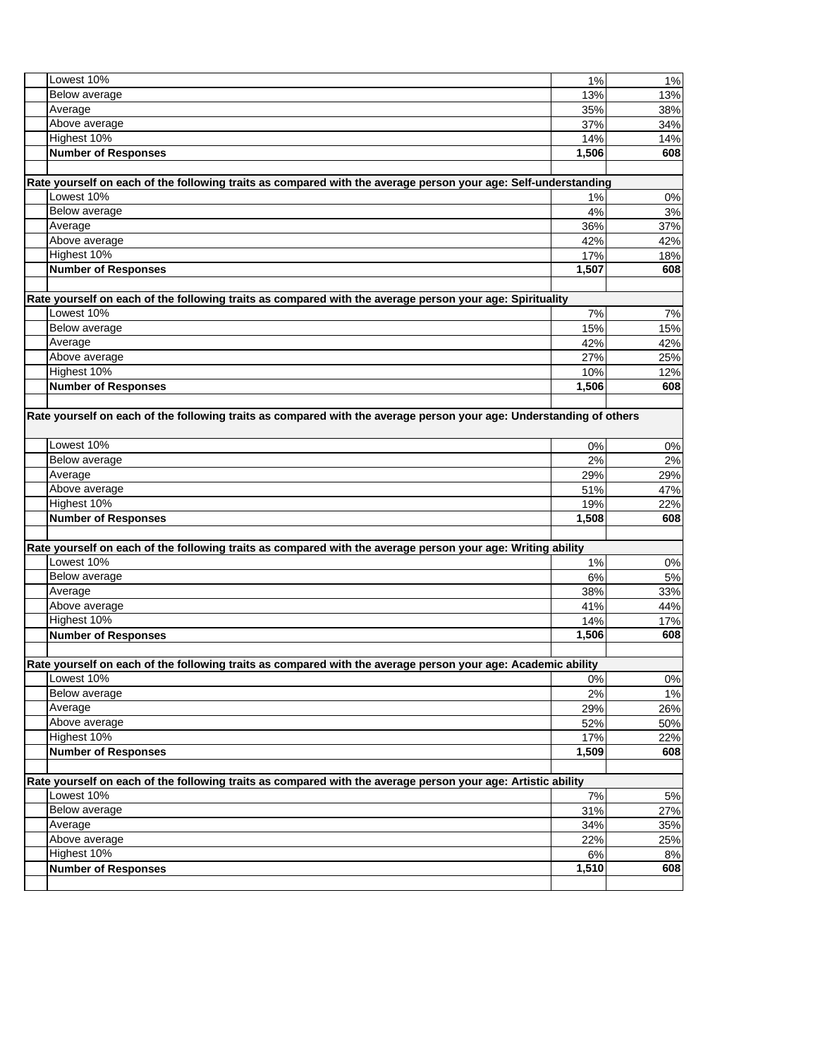| Lowest 10%                                                                                                          | 1%          | 1%        |
|---------------------------------------------------------------------------------------------------------------------|-------------|-----------|
| Below average                                                                                                       | 13%         | 13%       |
| Average                                                                                                             | 35%         | 38%       |
| Above average                                                                                                       | 37%         | 34%       |
| Highest 10%                                                                                                         | 14%         | 14%       |
| <b>Number of Responses</b>                                                                                          | 1,506       | 608       |
|                                                                                                                     |             |           |
| Rate yourself on each of the following traits as compared with the average person your age: Self-understanding      |             |           |
| Lowest 10%                                                                                                          | 1%          | 0%        |
| Below average                                                                                                       | 4%          | 3%        |
| Average                                                                                                             | 36%         | 37%       |
| Above average                                                                                                       | 42%         | 42%       |
| Highest 10%                                                                                                         | 17%         | 18%       |
| <b>Number of Responses</b>                                                                                          | 1,507       | 608       |
|                                                                                                                     |             |           |
| Rate yourself on each of the following traits as compared with the average person your age: Spirituality            |             |           |
| Lowest 10%                                                                                                          | 7%          | 7%        |
| Below average                                                                                                       | 15%         | 15%       |
| Average                                                                                                             | 42%         | 42%       |
| Above average                                                                                                       | 27%         | 25%       |
| Highest 10%                                                                                                         | 10%         | 12%       |
| <b>Number of Responses</b>                                                                                          | 1,506       | 608       |
|                                                                                                                     |             |           |
| Rate yourself on each of the following traits as compared with the average person your age: Understanding of others |             |           |
|                                                                                                                     |             |           |
| Lowest 10%                                                                                                          | 0%          | $0\%$     |
| Below average                                                                                                       | 2%          | 2%        |
| Average                                                                                                             | 29%         | 29%       |
| Above average                                                                                                       | 51%         | 47%       |
| Highest 10%                                                                                                         | 19%         | 22%       |
| <b>Number of Responses</b>                                                                                          | 1,508       | 608       |
|                                                                                                                     |             |           |
| Rate yourself on each of the following traits as compared with the average person your age: Writing ability         |             |           |
| Lowest 10%                                                                                                          | 1%          | 0%        |
| Below average                                                                                                       | 6%          | $5%$      |
| Average                                                                                                             | 38%         | 33%       |
| Above average                                                                                                       | 41%         | 44%       |
| Highest 10%                                                                                                         | 14%         | 17%       |
| <b>Number of Responses</b>                                                                                          | 1,506       | 608       |
|                                                                                                                     |             |           |
| Rate yourself on each of the following traits as compared with the average person your age: Academic ability        |             |           |
| Lowest 10%                                                                                                          | 0%          | $0\%$     |
| Below average                                                                                                       | 2%          | 1%        |
| Average                                                                                                             | 29%         | 26%       |
| Above average                                                                                                       | 52%         | 50%       |
| Highest 10%                                                                                                         | 17%         | 22%       |
| <b>Number of Responses</b>                                                                                          | 1,509       | 608       |
|                                                                                                                     |             |           |
| Rate yourself on each of the following traits as compared with the average person your age: Artistic ability        |             |           |
| Lowest 10%                                                                                                          | $7\%$       | 5%        |
| Below average                                                                                                       | 31%         | 27%       |
| Average                                                                                                             | 34%         | 35%       |
| Above average                                                                                                       | 22%         | 25%       |
| Highest 10%<br><b>Number of Responses</b>                                                                           | 6%<br>1,510 | 8%<br>608 |
|                                                                                                                     |             |           |
|                                                                                                                     |             |           |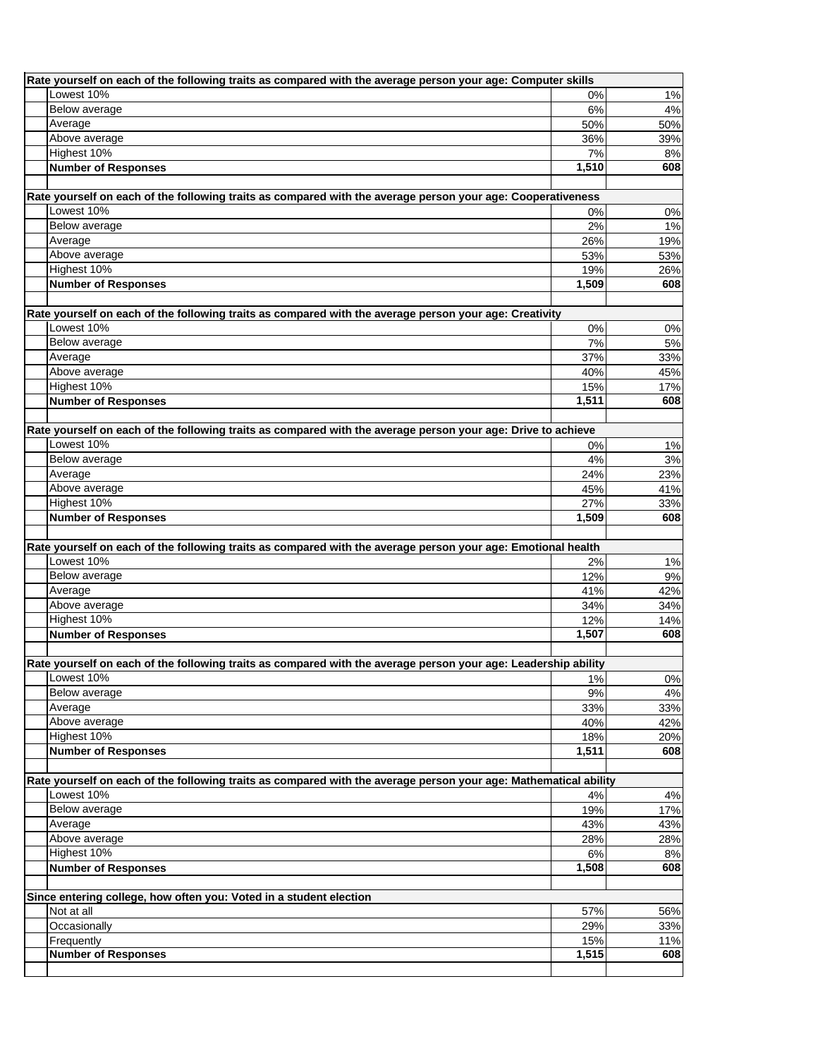| Rate yourself on each of the following traits as compared with the average person your age: Computer skills                  |              |                                                                                  |  |
|------------------------------------------------------------------------------------------------------------------------------|--------------|----------------------------------------------------------------------------------|--|
| Lowest 10%                                                                                                                   | 0%           | 1%                                                                               |  |
| <b>Below average</b>                                                                                                         | 6%           | $4\%$                                                                            |  |
| Average                                                                                                                      | 50%          | 50%                                                                              |  |
| Above average                                                                                                                | 36%          | 39%                                                                              |  |
| Highest 10%                                                                                                                  | 7%           | 8%                                                                               |  |
| <b>Number of Responses</b>                                                                                                   | 1,510        | 608                                                                              |  |
|                                                                                                                              |              |                                                                                  |  |
| Rate yourself on each of the following traits as compared with the average person your age: Cooperativeness                  |              |                                                                                  |  |
| Lowest 10%                                                                                                                   | 0%           | 0%                                                                               |  |
| Below average                                                                                                                | 2%           | 1%                                                                               |  |
| Average                                                                                                                      | 26%          | 19%                                                                              |  |
| Above average                                                                                                                | 53%          | 53%                                                                              |  |
| Highest 10%                                                                                                                  | 19%          | 26%                                                                              |  |
| <b>Number of Responses</b>                                                                                                   | 1,509        | 608                                                                              |  |
|                                                                                                                              |              |                                                                                  |  |
| Rate yourself on each of the following traits as compared with the average person your age: Creativity                       |              |                                                                                  |  |
| Lowest 10%                                                                                                                   | 0%           | 0%                                                                               |  |
| Below average                                                                                                                | 7%           | 5%                                                                               |  |
| Average                                                                                                                      | 37%          | 33%                                                                              |  |
| Above average                                                                                                                | 40%          | 45%                                                                              |  |
| Highest 10%                                                                                                                  | 15%          | 17%                                                                              |  |
| <b>Number of Responses</b>                                                                                                   | 1,511        | 608                                                                              |  |
|                                                                                                                              |              |                                                                                  |  |
| Rate yourself on each of the following traits as compared with the average person your age: Drive to achieve<br>Lowest 10%   |              |                                                                                  |  |
| <b>Below average</b>                                                                                                         | 0%           | 1%                                                                               |  |
| Average                                                                                                                      | 4%           | 3%                                                                               |  |
|                                                                                                                              | 24%<br>45%   | 23%<br>41%                                                                       |  |
| Above average<br>Highest 10%                                                                                                 |              |                                                                                  |  |
| <b>Number of Responses</b>                                                                                                   | 27%<br>1,509 | 33%<br>608                                                                       |  |
|                                                                                                                              |              |                                                                                  |  |
|                                                                                                                              |              |                                                                                  |  |
|                                                                                                                              |              |                                                                                  |  |
| Rate yourself on each of the following traits as compared with the average person your age: Emotional health                 |              |                                                                                  |  |
| Lowest 10%                                                                                                                   | 2%           |                                                                                  |  |
| Below average                                                                                                                | 12%          |                                                                                  |  |
| Average                                                                                                                      | 41%          |                                                                                  |  |
| Above average                                                                                                                | 34%          |                                                                                  |  |
| Highest 10%                                                                                                                  | 12%          |                                                                                  |  |
| <b>Number of Responses</b>                                                                                                   | 1,507        | 608                                                                              |  |
|                                                                                                                              |              |                                                                                  |  |
| Rate yourself on each of the following traits as compared with the average person your age: Leadership ability<br>Lowest 10% |              |                                                                                  |  |
| <b>Below average</b>                                                                                                         | 1%<br>9%     | 34%<br>$0\%$                                                                     |  |
| Average                                                                                                                      | 33%          |                                                                                  |  |
| Above average                                                                                                                | 40%          |                                                                                  |  |
| Highest 10%                                                                                                                  | 18%          |                                                                                  |  |
| <b>Number of Responses</b>                                                                                                   | 1,511        |                                                                                  |  |
|                                                                                                                              |              |                                                                                  |  |
| Rate yourself on each of the following traits as compared with the average person your age: Mathematical ability             |              |                                                                                  |  |
| Lowest 10%                                                                                                                   | 4%           | 20%<br>608<br>4%                                                                 |  |
| Below average                                                                                                                | 19%          |                                                                                  |  |
| Average                                                                                                                      | 43%          |                                                                                  |  |
| Above average                                                                                                                | 28%          |                                                                                  |  |
| Highest 10%                                                                                                                  | 6%           |                                                                                  |  |
| <b>Number of Responses</b>                                                                                                   | 1,508        |                                                                                  |  |
|                                                                                                                              |              |                                                                                  |  |
| Since entering college, how often you: Voted in a student election                                                           |              |                                                                                  |  |
| Not at all                                                                                                                   | 57%          |                                                                                  |  |
| Occasionally                                                                                                                 | 29%          |                                                                                  |  |
| Frequently                                                                                                                   | 15%          | 17%<br>28%<br>8%<br>608                                                          |  |
| <b>Number of Responses</b>                                                                                                   | 1,515        | 1%<br>9%<br>42%<br>14%<br>$4\%$<br>33%<br>42%<br>43%<br>56%<br>33%<br>11%<br>608 |  |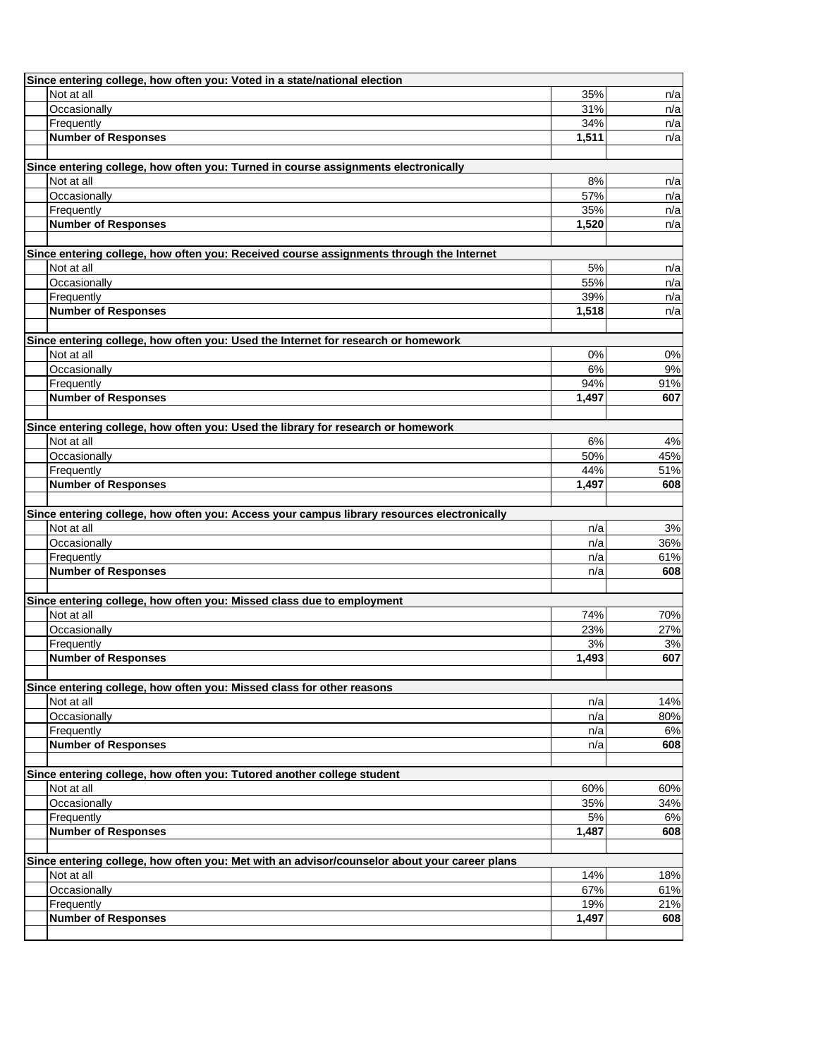| Since entering college, how often you: Voted in a state/national election                                |             |            |
|----------------------------------------------------------------------------------------------------------|-------------|------------|
| Not at all                                                                                               | 35%         | n/a        |
| Occasionally                                                                                             | 31%         | n/a        |
| Frequently                                                                                               | 34%         | n/a        |
| <b>Number of Responses</b>                                                                               | 1,511       | n/a        |
|                                                                                                          |             |            |
| Since entering college, how often you: Turned in course assignments electronically<br>Not at all         |             |            |
| Occasionally                                                                                             | 8%<br>57%   | n/a        |
| Frequently                                                                                               | 35%         | n/a<br>n/a |
| <b>Number of Responses</b>                                                                               | 1,520       | n/a        |
|                                                                                                          |             |            |
| Since entering college, how often you: Received course assignments through the Internet                  |             |            |
| Not at all                                                                                               | 5%          | n/a        |
| Occasionally                                                                                             | 55%         | n/a        |
| Frequently                                                                                               | 39%         | n/a        |
| <b>Number of Responses</b>                                                                               | 1,518       | n/a        |
|                                                                                                          |             |            |
| Since entering college, how often you: Used the Internet for research or homework                        |             |            |
| Not at all                                                                                               | 0%          | 0%         |
| Occasionally                                                                                             | 6%          | 9%         |
| Frequently                                                                                               | 94%         | 91%        |
| <b>Number of Responses</b>                                                                               | 1,497       | 607        |
|                                                                                                          |             |            |
| Since entering college, how often you: Used the library for research or homework                         |             |            |
| Not at all                                                                                               | 6%          | 4%         |
| Occasionally                                                                                             | 50%         | 45%        |
| Frequently                                                                                               | 44%         | 51%        |
| <b>Number of Responses</b>                                                                               | 1,497       | 608        |
|                                                                                                          |             |            |
| Since entering college, how often you: Access your campus library resources electronically<br>Not at all | n/a         | 3%         |
| Occasionally                                                                                             | n/a         | 36%        |
| Frequently                                                                                               | n/a         | 61%        |
| <b>Number of Responses</b>                                                                               | n/a         | 608        |
|                                                                                                          |             |            |
| Since entering college, how often you: Missed class due to employment                                    |             |            |
| Not at all                                                                                               | 74%         | 70%        |
| Occasionally                                                                                             | 23%         | 27%        |
| Frequently                                                                                               | 3%          | 3%         |
| <b>Number of Responses</b>                                                                               | 1,493       | 607        |
|                                                                                                          |             |            |
| Since entering college, how often you: Missed class for other reasons                                    |             |            |
| Not at all                                                                                               | n/a         | 14%        |
| Occasionally                                                                                             | n/a         | 80%        |
| Frequently                                                                                               | n/a         | 6%         |
| <b>Number of Responses</b>                                                                               | n/a         | 608        |
|                                                                                                          |             |            |
| Since entering college, how often you: Tutored another college student                                   |             |            |
| Not at all<br>Occasionally                                                                               | 60%         | 60%        |
|                                                                                                          | 35%         | 34%        |
| Frequently<br><b>Number of Responses</b>                                                                 | 5%<br>1,487 | 6%<br>608  |
|                                                                                                          |             |            |
| Since entering college, how often you: Met with an advisor/counselor about your career plans             |             |            |
| Not at all                                                                                               | 14%         | 18%        |
| Occasionally                                                                                             | 67%         | 61%        |
| Frequently                                                                                               | 19%         | 21%        |
| <b>Number of Responses</b>                                                                               | 1,497       | 608        |
|                                                                                                          |             |            |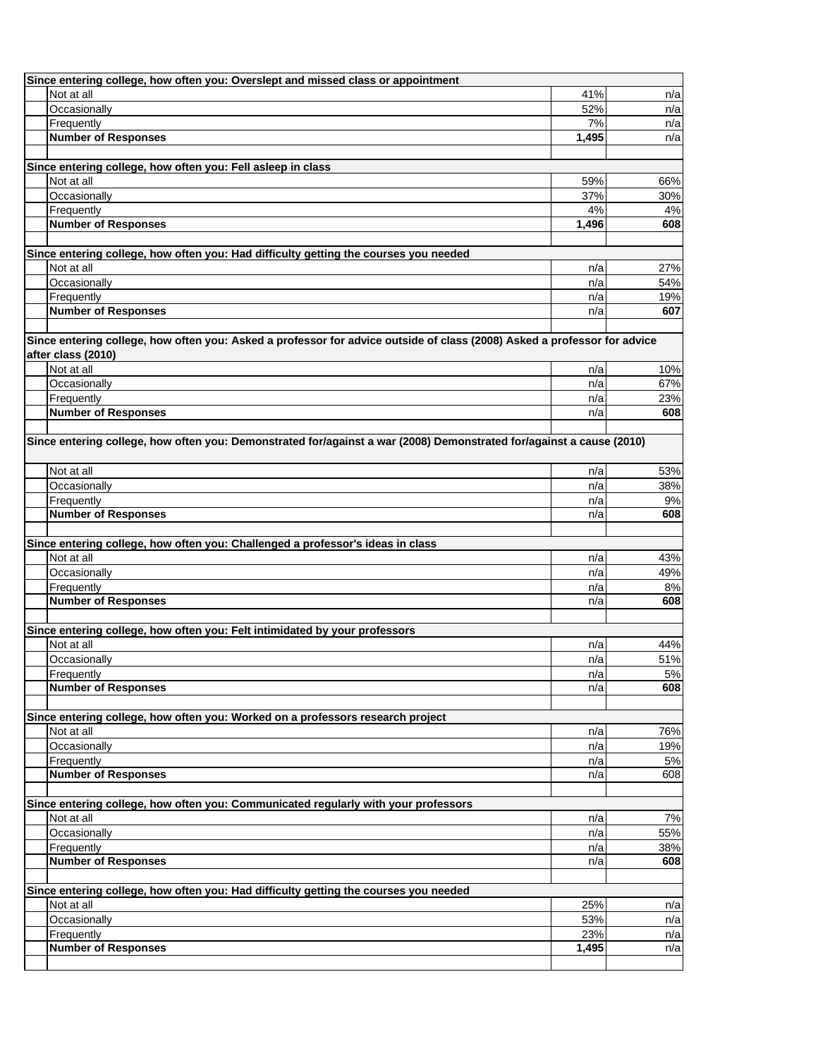| Since entering college, how often you: Overslept and missed class or appointment                                         |       |       |
|--------------------------------------------------------------------------------------------------------------------------|-------|-------|
| Not at all                                                                                                               | 41%   | n/a   |
| Occasionally                                                                                                             | 52%   | n/a   |
| Frequently                                                                                                               | 7%    | n/a   |
| <b>Number of Responses</b>                                                                                               | 1,495 | n/a   |
|                                                                                                                          |       |       |
| Since entering college, how often you: Fell asleep in class                                                              |       |       |
| Not at all                                                                                                               | 59%   | 66%   |
| Occasionally                                                                                                             | 37%   | 30%   |
| Frequently                                                                                                               | 4%    | 4%    |
| <b>Number of Responses</b>                                                                                               | 1,496 | 608   |
|                                                                                                                          |       |       |
| Since entering college, how often you: Had difficulty getting the courses you needed                                     |       |       |
| Not at all                                                                                                               | n/a   | 27%   |
| Occasionally                                                                                                             | n/a   | 54%   |
| Frequently                                                                                                               | n/a   | 19%   |
| <b>Number of Responses</b>                                                                                               | n/a   | 607   |
|                                                                                                                          |       |       |
| Since entering college, how often you: Asked a professor for advice outside of class (2008) Asked a professor for advice |       |       |
| after class (2010)                                                                                                       |       |       |
| Not at all                                                                                                               | n/a   | 10%   |
| Occasionally                                                                                                             | n/a   | 67%   |
| Frequently                                                                                                               | n/a   | 23%   |
| <b>Number of Responses</b>                                                                                               | n/a   | 608   |
|                                                                                                                          |       |       |
| Since entering college, how often you: Demonstrated for/against a war (2008) Demonstrated for/against a cause (2010)     |       |       |
| Not at all                                                                                                               | n/a   | 53%   |
| Occasionally                                                                                                             | n/a   | 38%   |
| Frequently                                                                                                               | n/a   | 9%    |
| <b>Number of Responses</b>                                                                                               | n/a   | 608   |
|                                                                                                                          |       |       |
| Since entering college, how often you: Challenged a professor's ideas in class                                           |       |       |
| Not at all                                                                                                               | n/a   | 43%   |
| Occasionally                                                                                                             | n/a   | 49%   |
| Frequently                                                                                                               | n/a   | 8%    |
| <b>Number of Responses</b>                                                                                               | n/a   | 608   |
|                                                                                                                          |       |       |
| Since entering college, how often you: Felt intimidated by your professors                                               |       |       |
| Not at all                                                                                                               | n/a   | 44%   |
| Occasionally                                                                                                             | n/a   | 51%   |
| Frequently                                                                                                               | n/a   | 5%    |
| <b>Number of Responses</b>                                                                                               | n/a   | 608   |
|                                                                                                                          |       |       |
| Since entering college, how often you: Worked on a professors research project                                           |       |       |
| Not at all                                                                                                               | n/a   | 76%   |
| Occasionally                                                                                                             | n/a   | 19%   |
| Frequently                                                                                                               | n/a   | 5%    |
| <b>Number of Responses</b>                                                                                               | n/a   | 608   |
|                                                                                                                          |       |       |
| Since entering college, how often you: Communicated regularly with your professors                                       |       |       |
| Not at all                                                                                                               | n/a   | $7\%$ |
| Occasionally                                                                                                             | n/a   | 55%   |
| Frequently                                                                                                               | n/a   | 38%   |
| <b>Number of Responses</b>                                                                                               | n/a   | 608   |
|                                                                                                                          |       |       |
| Since entering college, how often you: Had difficulty getting the courses you needed                                     |       |       |
| Not at all                                                                                                               | 25%   | n/a   |
| Occasionally                                                                                                             | 53%   | n/a   |
| Frequently                                                                                                               | 23%   | n/a   |
| <b>Number of Responses</b>                                                                                               | 1,495 | n/a   |
|                                                                                                                          |       |       |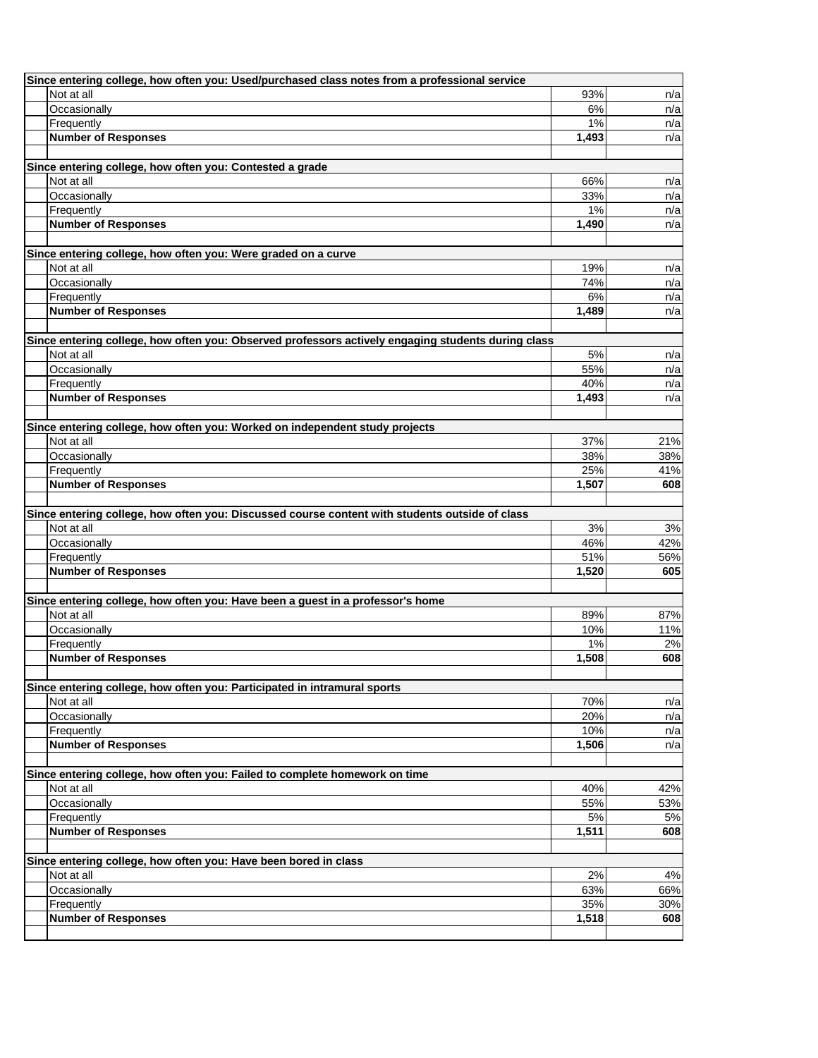| Since entering college, how often you: Used/purchased class notes from a professional service      |              |            |
|----------------------------------------------------------------------------------------------------|--------------|------------|
| Not at all                                                                                         | 93%          | n/a        |
| Occasionally                                                                                       | 6%           | n/a        |
| Frequently                                                                                         | 1%           | n/a        |
| <b>Number of Responses</b>                                                                         | 1,493        | n/a        |
|                                                                                                    |              |            |
| Since entering college, how often you: Contested a grade                                           |              |            |
| Not at all                                                                                         | 66%          | n/a        |
| Occasionally                                                                                       | 33%          | n/a        |
| Frequently<br><b>Number of Responses</b>                                                           | 1%<br>1,490  | n/a<br>n/a |
|                                                                                                    |              |            |
| Since entering college, how often you: Were graded on a curve                                      |              |            |
| Not at all                                                                                         | 19%          | n/a        |
| Occasionally                                                                                       | 74%          | n/a        |
| Frequently                                                                                         | 6%           | n/a        |
| <b>Number of Responses</b>                                                                         | 1,489        | n/a        |
|                                                                                                    |              |            |
| Since entering college, how often you: Observed professors actively engaging students during class |              |            |
| Not at all                                                                                         | 5%           | n/a        |
| Occasionally                                                                                       | 55%          | n/a        |
| Frequently                                                                                         | 40%          | n/a        |
| <b>Number of Responses</b>                                                                         | 1,493        | n/a        |
|                                                                                                    |              |            |
| Since entering college, how often you: Worked on independent study projects                        |              |            |
| Not at all                                                                                         | 37%          | 21%        |
| Occasionally                                                                                       | 38%          | 38%        |
| Frequently                                                                                         | 25%          | 41%        |
| <b>Number of Responses</b>                                                                         | 1,507        | 608        |
|                                                                                                    |              |            |
| Since entering college, how often you: Discussed course content with students outside of class     |              |            |
| Not at all                                                                                         | 3%           | 3%         |
| Occasionally                                                                                       | 46%          | 42%        |
| Frequently<br><b>Number of Responses</b>                                                           | 51%<br>1,520 | 56%<br>605 |
|                                                                                                    |              |            |
| Since entering college, how often you: Have been a guest in a professor's home                     |              |            |
| Not at all                                                                                         | 89%          | 87%        |
| Occasionally                                                                                       | 10%          | 11%        |
| Frequently                                                                                         | 1%           | 2%         |
| <b>Number of Responses</b>                                                                         | 1,508        | 608        |
|                                                                                                    |              |            |
| Since entering college, how often you: Participated in intramural sports                           |              |            |
| Not at all                                                                                         | 70%          | n/a        |
| Occasionally                                                                                       | 20%          | n/a        |
| Frequently                                                                                         | 10%          | n/a        |
| <b>Number of Responses</b>                                                                         | 1,506        | n/a        |
|                                                                                                    |              |            |
| Since entering college, how often you: Failed to complete homework on time                         |              |            |
| Not at all                                                                                         | 40%          | 42%        |
| Occasionally<br>Frequently                                                                         | 55%          | 53%        |
| <b>Number of Responses</b>                                                                         | 5%<br>1,511  | 5%<br>608  |
|                                                                                                    |              |            |
| Since entering college, how often you: Have been bored in class                                    |              |            |
| Not at all                                                                                         | 2%           | 4%         |
| Occasionally                                                                                       | 63%          | 66%        |
| Frequently                                                                                         | 35%          | 30%        |
| <b>Number of Responses</b>                                                                         | 1,518        | 608        |
|                                                                                                    |              |            |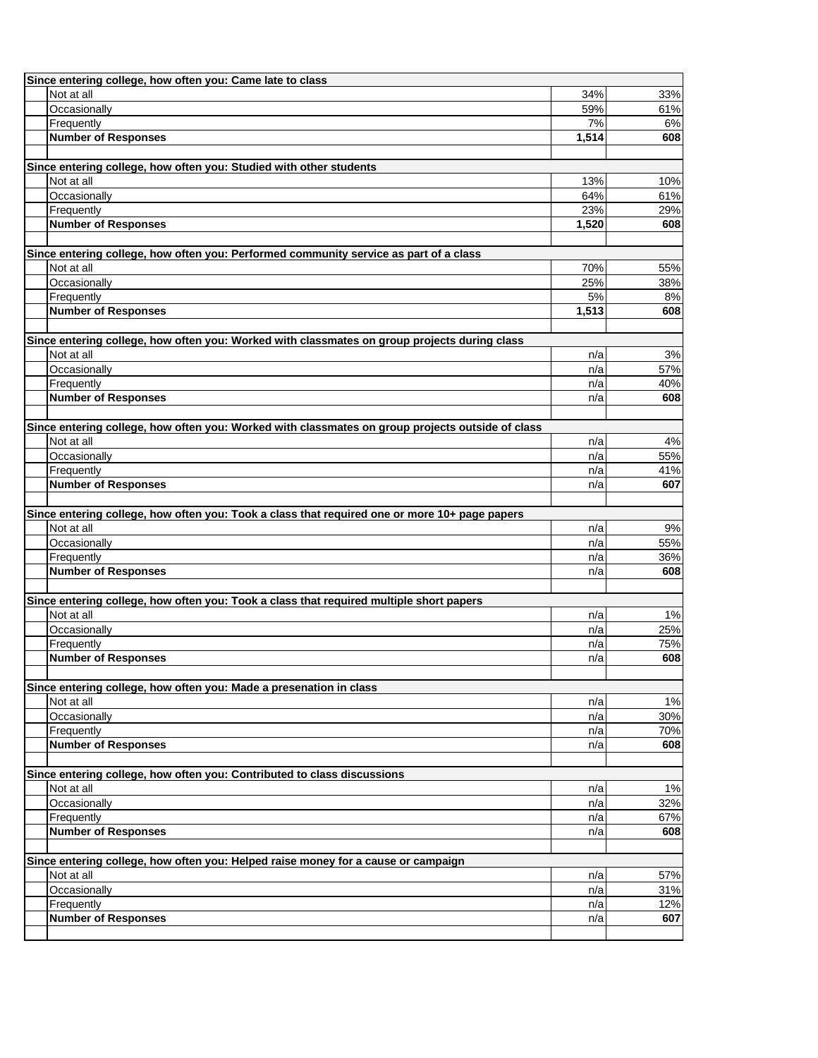| Since entering college, how often you: Came late to class                                        |             |            |
|--------------------------------------------------------------------------------------------------|-------------|------------|
| Not at all                                                                                       | 34%         | 33%        |
| Occasionally                                                                                     | 59%         | 61%        |
| Frequently                                                                                       | 7%          | 6%         |
| <b>Number of Responses</b>                                                                       | 1,514       | 608        |
| Since entering college, how often you: Studied with other students                               |             |            |
| Not at all                                                                                       | 13%         | 10%        |
| Occasionally                                                                                     | 64%         | 61%        |
| Frequently                                                                                       | 23%         | 29%        |
| <b>Number of Responses</b>                                                                       | 1,520       | 608        |
|                                                                                                  |             |            |
| Since entering college, how often you: Performed community service as part of a class            |             |            |
| Not at all                                                                                       | 70%<br>25%  | 55%        |
| Occasionally                                                                                     |             | 38%        |
| Frequently<br><b>Number of Responses</b>                                                         | 5%<br>1,513 | 8%<br>608  |
|                                                                                                  |             |            |
| Since entering college, how often you: Worked with classmates on group projects during class     |             |            |
| Not at all                                                                                       | n/a         | 3%         |
| Occasionally                                                                                     | n/a         | 57%        |
| Frequently                                                                                       | n/a         | 40%        |
| <b>Number of Responses</b>                                                                       | n/a         | 608        |
|                                                                                                  |             |            |
| Since entering college, how often you: Worked with classmates on group projects outside of class |             |            |
| Not at all                                                                                       | n/a         | 4%         |
| Occasionally                                                                                     | n/a         | 55%        |
| Frequently<br><b>Number of Responses</b>                                                         | n/a         | 41%<br>607 |
|                                                                                                  | n/a         |            |
| Since entering college, how often you: Took a class that required one or more 10+ page papers    |             |            |
| Not at all                                                                                       | n/a         | 9%         |
| Occasionally                                                                                     | n/a         | 55%        |
| Frequently                                                                                       | n/a         | 36%        |
| <b>Number of Responses</b>                                                                       | n/a         | 608        |
|                                                                                                  |             |            |
| Since entering college, how often you: Took a class that required multiple short papers          |             |            |
| Not at all                                                                                       | n/a         | 1%         |
| Occasionally                                                                                     | n/a         | 25%        |
| Frequently<br><b>Number of Responses</b>                                                         | n/a<br>n/a  | 75%<br>608 |
|                                                                                                  |             |            |
| Since entering college, how often you: Made a presenation in class                               |             |            |
| Not at all                                                                                       | n/a         | 1%         |
| Occasionally                                                                                     | n/a         | 30%        |
| Frequently                                                                                       | n/a         | 70%        |
| <b>Number of Responses</b>                                                                       | n/a         | 608        |
|                                                                                                  |             |            |
| Since entering college, how often you: Contributed to class discussions                          |             |            |
| Not at all                                                                                       | n/a         | 1%         |
| Occasionally                                                                                     | n/a         | 32%        |
| Frequently<br><b>Number of Responses</b>                                                         | n/a         | 67%<br>608 |
|                                                                                                  | n/a         |            |
| Since entering college, how often you: Helped raise money for a cause or campaign                |             |            |
| Not at all                                                                                       | n/a         | 57%        |
| Occasionally                                                                                     | n/a         | 31%        |
| Frequently                                                                                       | n/a         | 12%        |
| <b>Number of Responses</b>                                                                       | n/a         | 607        |
|                                                                                                  |             |            |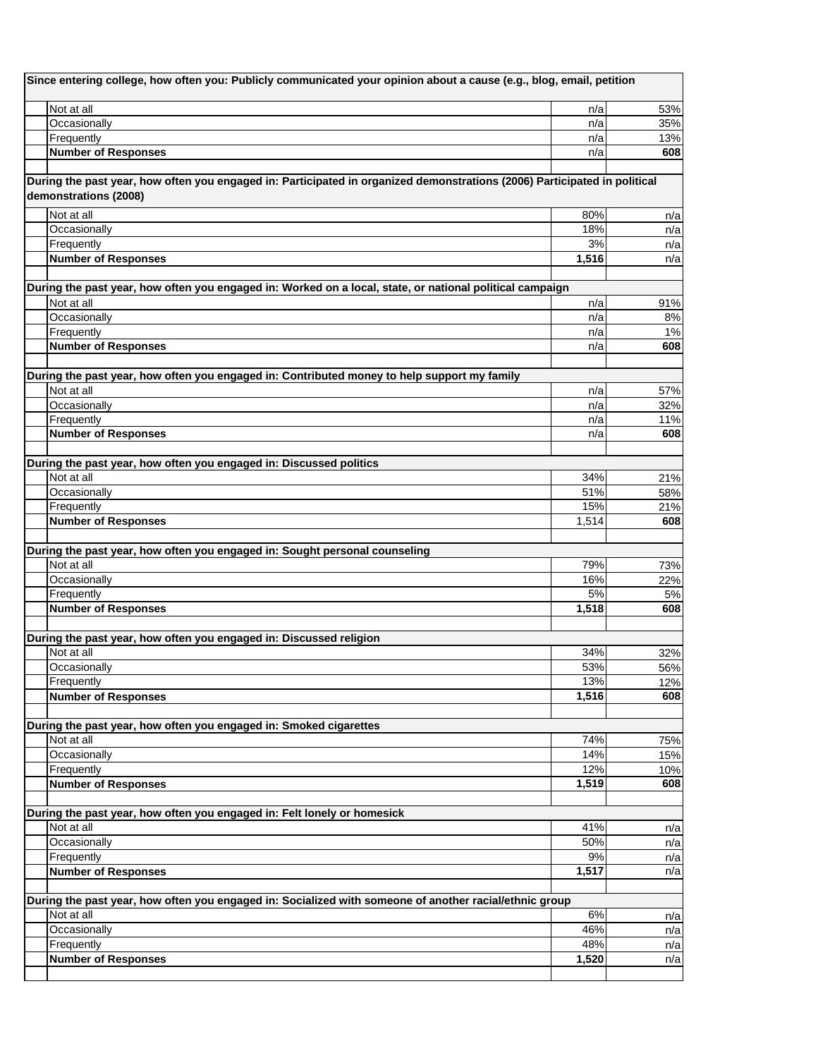| Since entering college, how often you: Publicly communicated your opinion about a cause (e.g., blog, email, petition                               |                    |            |
|----------------------------------------------------------------------------------------------------------------------------------------------------|--------------------|------------|
| Not at all                                                                                                                                         | n/a                | 53%        |
| Occasionally                                                                                                                                       | n/a                | 35%        |
| Frequently                                                                                                                                         | n/a                | 13%        |
| <b>Number of Responses</b>                                                                                                                         | n/a                | 608        |
| During the past year, how often you engaged in: Participated in organized demonstrations (2006) Participated in political<br>demonstrations (2008) |                    |            |
| Not at all                                                                                                                                         | 80%                | n/a        |
| Occasionally                                                                                                                                       | 18%                | n/a        |
| Frequently                                                                                                                                         | 3%                 | n/a        |
| <b>Number of Responses</b>                                                                                                                         | $\overline{1,516}$ | n/a        |
| During the past year, how often you engaged in: Worked on a local, state, or national political campaign                                           |                    |            |
| Not at all                                                                                                                                         | n/a                | 91%        |
| Occasionally                                                                                                                                       | n/a                | 8%         |
| Frequently                                                                                                                                         | n/a                | 1%         |
| <b>Number of Responses</b>                                                                                                                         | n/a                | 608        |
| During the past year, how often you engaged in: Contributed money to help support my family                                                        |                    |            |
| Not at all                                                                                                                                         | n/a                | 57%        |
| Occasionally                                                                                                                                       | n/a                | 32%        |
| Frequently                                                                                                                                         | n/a                | 11%        |
| <b>Number of Responses</b>                                                                                                                         | n/a                | 608        |
| During the past year, how often you engaged in: Discussed politics                                                                                 |                    |            |
| Not at all                                                                                                                                         | 34%                | 21%        |
| Occasionally                                                                                                                                       | 51%                | 58%        |
| Frequently                                                                                                                                         | 15%                | 21%        |
| <b>Number of Responses</b>                                                                                                                         | 1,514              | 608        |
| During the past year, how often you engaged in: Sought personal counseling                                                                         |                    |            |
| Not at all                                                                                                                                         | 79%                | 73%        |
| Occasionally                                                                                                                                       | 16%                | 22%        |
| Frequently                                                                                                                                         | 5%                 | 5%         |
| <b>Number of Responses</b>                                                                                                                         | 1,518              | 608        |
|                                                                                                                                                    |                    |            |
| During the past year, how often you engaged in: Discussed religion                                                                                 |                    |            |
| Not at all                                                                                                                                         | 34%                | 32%        |
| Occasionally                                                                                                                                       | 53%                | 56%        |
| Frequently                                                                                                                                         | 13%                | 12%        |
| <b>Number of Responses</b>                                                                                                                         | 1,516              | 608        |
| During the past year, how often you engaged in: Smoked cigarettes                                                                                  |                    |            |
| Not at all                                                                                                                                         | 74%                | 75%        |
| Occasionally                                                                                                                                       | 14%                | 15%        |
| Frequently                                                                                                                                         | 12%                | 10%        |
| <b>Number of Responses</b>                                                                                                                         | 1,519              | 608        |
| During the past year, how often you engaged in: Felt lonely or homesick                                                                            |                    |            |
| Not at all                                                                                                                                         | 41%                | n/a        |
| Occasionally                                                                                                                                       | 50%                | n/a        |
| Frequently                                                                                                                                         | 9%                 | n/a        |
| <b>Number of Responses</b>                                                                                                                         | 1,517              | n/a        |
| During the past year, how often you engaged in: Socialized with someone of another racial/ethnic group                                             |                    |            |
| Not at all                                                                                                                                         | 6%                 |            |
| Occasionally                                                                                                                                       | 46%                | n/a        |
| Frequently                                                                                                                                         | 48%                | n/a<br>n/a |
| <b>Number of Responses</b>                                                                                                                         | 1,520              | n/a        |
|                                                                                                                                                    |                    |            |